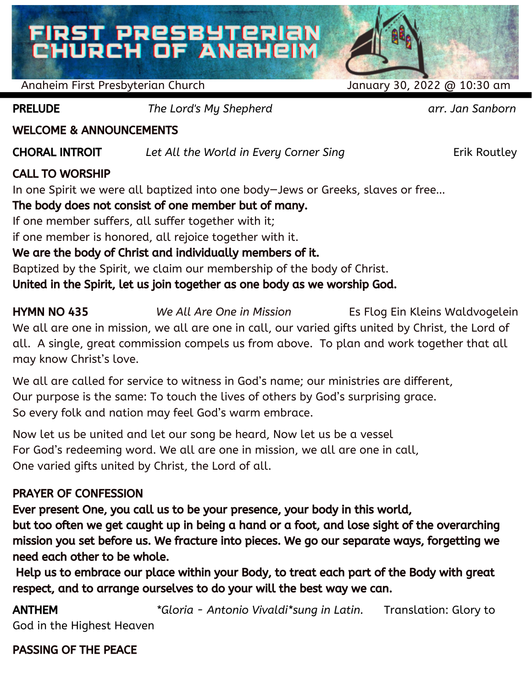# FIRST PRESBYTERIAN<br>CHURCH OF ANAHEIM

Anaheim First Presbyterian Church January 30, 2022 @ 10:30 am

PRELUDE *The Lord's My Shepherd arr. Jan Sanborn*

WELCOME & ANNOUNCEMENTS

CHORAL INTROIT *Let All the World in Every Corner Sing* Erik Routley

# CALL TO WORSHIP

In one Spirit we were all baptized into one body—Jews or Greeks, slaves or free…

# The body does not consist of one member but of many.

If one member suffers, all suffer together with it;

if one member is honored, all rejoice together with it.

# We are the body of Christ and individually members of it.

Baptized by the Spirit, we claim our membership of the body of Christ.

United in the Spirit, let us join together as one body as we worship God.

HYMN NO 435 *We All Are One in Mission* Es Flog Ein Kleins Waldvogelein We all are one in mission, we all are one in call, our varied gifts united by Christ, the Lord of all. A single, great commission compels us from above. To plan and work together that all may know Christ's love.

We all are called for service to witness in God's name; our ministries are different, Our purpose is the same: To touch the lives of others by God's surprising grace. So every folk and nation may feel God's warm embrace.

Now let us be united and let our song be heard, Now let us be a vessel For God's redeeming word. We all are one in mission, we all are one in call, One varied gifts united by Christ, the Lord of all.

# PRAYER OF CONFESSION

Ever present One, you call us to be your presence, your body in this world,

but too often we get caught up in being a hand or a foot, and lose sight of the overarching mission you set before us. We fracture into pieces. We go our separate ways, forgetting we need each other to be whole.

Help us to embrace our place within your Body, to treat each part of the Body with great respect, and to arrange ourselves to do your will the best way we can.

ANTHEM *\*Gloria - Antonio Vivaldi\*sung in Latin.* Translation: Glory to God in the Highest Heaven

# PASSING OF THE PEACE